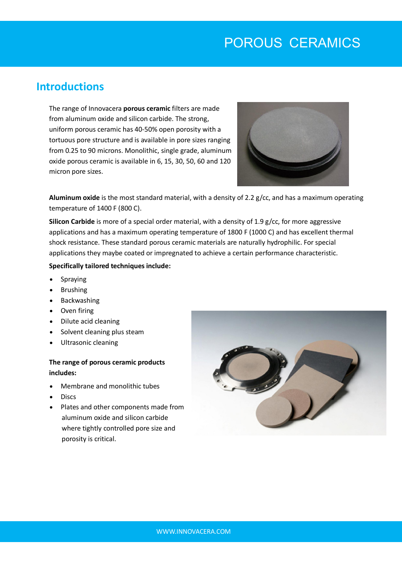# POROUS CERAMICS

### **Introductions**

The range of Innovacera **porous ceramic** filters are made from aluminum oxide and silicon carbide. The strong, uniform porous ceramic has 40-50% open porosity with a tortuous pore structure and is available in pore sizes ranging from 0.25 to 90 microns. Monolithic, single grade, aluminum oxide porous ceramic is available in 6, 15, 30, 50, 60 and 120 micron pore sizes.



**Aluminum oxide** is the most standard material, with a density of 2.2 g/cc, and has a maximum operating temperature of 1400 F (800 C).

**Silicon Carbide** is more of a special order material, with a density of 1.9 g/cc, for more aggressive applications and has a maximum operating temperature of 1800 F (1000 C) and has excellent thermal shock resistance. These standard porous ceramic materials are naturally hydrophilic. For special applications they maybe coated or impregnated to achieve a certain performance characteristic.

#### **Specifically tailored techniques include:**

- Spraying
- Brushing
- Backwashing
- Oven firing
- Dilute acid cleaning
- Solvent cleaning plus steam
- Ultrasonic cleaning

#### **The range of porous ceramic products includes:**

- Membrane and monolithic tubes
- **Discs**
- Plates and other components made from aluminum oxide and silicon carbide where tightly controlled pore size and porosity is critical.

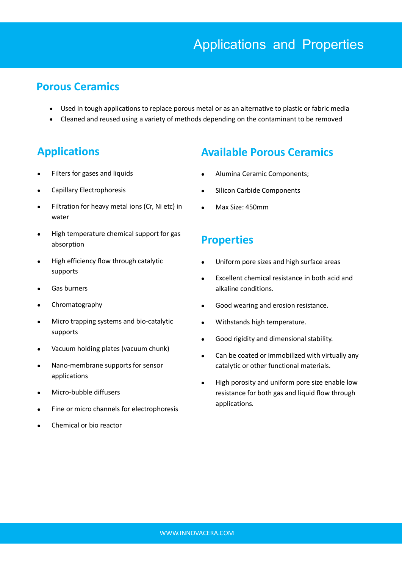### **Porous Ceramics**

- Used in tough applications to replace porous metal or as an alternative to plastic or fabric media
- Cleaned and reused using a variety of methods depending on the contaminant to be removed

# **Applications**

- Filters for gases and liquids
- Capillary Electrophoresis
- Filtration for heavy metal ions (Cr, Ni etc) in water
- High temperature chemical support for gas absorption
- High efficiency flow through catalytic supports
- Gas burners
- Chromatography
- Micro trapping systems and bio-catalytic supports
- Vacuum holding plates (vacuum chunk)
- Nano-membrane supports for sensor applications
- Micro-bubble diffusers
- Fine or micro channels for electrophoresis
- Chemical or bio reactor

## **Available Porous Ceramics**

- Alumina Ceramic Components;
- Silicon Carbide Components
- Max Size: 450mm

## **Properties**

- Uniform pore sizes and high surface areas
- Excellent chemical resistance in both acid and alkaline conditions.
- Good wearing and erosion resistance.
- Withstands high temperature.
- Good rigidity and dimensional stability.
- Can be coated or immobilized with virtually any catalytic or other functional materials.
- High porosity and uniform pore size enable low resistance for both gas and liquid flow through applications.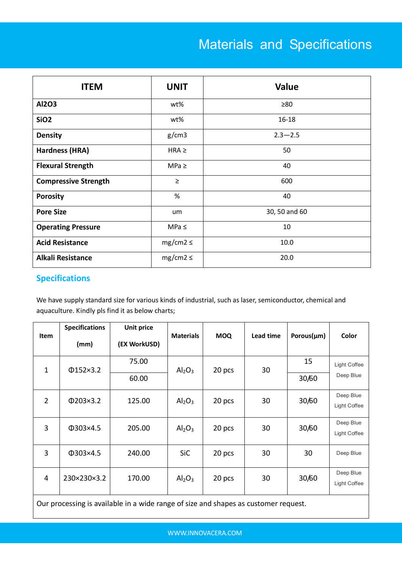# Materials and Specifications

| <b>ITEM</b>                 | <b>UNIT</b>   | <b>Value</b>  |
|-----------------------------|---------------|---------------|
| <b>Al2O3</b>                | wt%           | $\geq 80$     |
| SiO <sub>2</sub>            | wt%           | $16 - 18$     |
| <b>Density</b>              | g/cm3         | $2.3 - 2.5$   |
| Hardness (HRA)              | $HRA \geq$    | 50            |
| <b>Flexural Strength</b>    | $MPa \geq$    | 40            |
| <b>Compressive Strength</b> | $\geq$        | 600           |
| <b>Porosity</b>             | %             | 40            |
| <b>Pore Size</b>            | um            | 30, 50 and 60 |
| <b>Operating Pressure</b>   | MPa $\leq$    | 10            |
| <b>Acid Resistance</b>      | $mg/cm2 \leq$ | 10.0          |
| <b>Alkali Resistance</b>    | $mg/cm2 \leq$ | 20.0          |

#### **Specifications**

We have supply standard size for various kinds of industrial, such as laser, semiconductor, chemical and aquaculture. Kindly pls find it as below charts;

| Item           | <b>Specifications</b><br>(mm) | <b>Unit price</b><br>(EX WorkUSD) | <b>Materials</b>               | <b>MOQ</b> | Lead time | Porous( $\mu$ m) | Color        |
|----------------|-------------------------------|-----------------------------------|--------------------------------|------------|-----------|------------------|--------------|
| 1              | $\Phi$ 152×3.2                | 75.00                             | Al <sub>2</sub> O <sub>3</sub> | 20 pcs     | 30        | 15               | Light Coffee |
|                |                               | 60.00                             |                                |            |           | 30/60            | Deep Blue    |
| $\overline{2}$ | $\Phi$ 203×3.2                | 125.00                            | $\mathsf{Al}_2\mathsf{O}_3$    | 20 pcs     | 30        | 30/60            | Deep Blue    |
|                |                               |                                   |                                |            |           |                  | Light Coffee |
| 3              | Φ303×4.5                      | 205.00                            | Al <sub>2</sub> O <sub>3</sub> | 20 pcs     | 30        | 30/60            | Deep Blue    |
|                |                               |                                   |                                |            |           |                  | Light Coffee |
| 3              | $\Phi$ 303×4.5                | 240.00                            | SiC                            | 20 pcs     | 30        | 30               | Deep Blue    |
| 4              | 230×230×3.2                   | 170.00                            | $\mathsf{Al}_2\mathsf{O}_3$    | 20 pcs     | 30        | 30/60            | Deep Blue    |
|                |                               |                                   |                                |            |           |                  | Light Coffee |

Our processing is available in a wide range of size and shapes as customer request.

WWW.INNOVACERA.COM